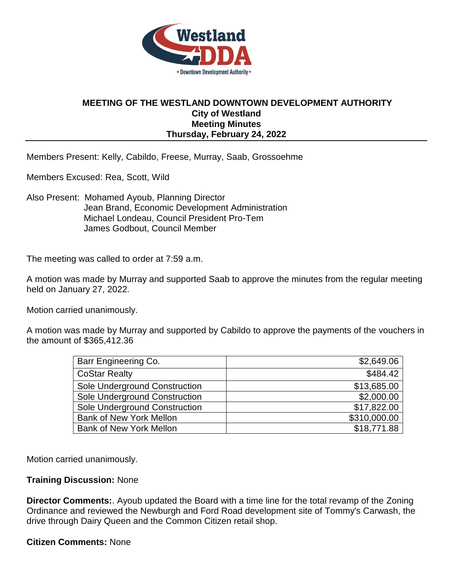

## **MEETING OF THE WESTLAND DOWNTOWN DEVELOPMENT AUTHORITY City of Westland Meeting Minutes Thursday, February 24, 2022**

Members Present: Kelly, Cabildo, Freese, Murray, Saab, Grossoehme

Members Excused: Rea, Scott, Wild

Also Present: Mohamed Ayoub, Planning Director Jean Brand, Economic Development Administration Michael Londeau, Council President Pro-Tem James Godbout, Council Member

The meeting was called to order at 7:59 a.m.

A motion was made by Murray and supported Saab to approve the minutes from the regular meeting held on January 27, 2022.

Motion carried unanimously.

A motion was made by Murray and supported by Cabildo to approve the payments of the vouchers in the amount of \$365,412.36

| Barr Engineering Co.           | \$2,649.06   |
|--------------------------------|--------------|
| <b>CoStar Realty</b>           | \$484.42     |
| Sole Underground Construction  | \$13,685.00  |
| Sole Underground Construction  | \$2,000.00   |
| Sole Underground Construction  | \$17,822.00  |
| <b>Bank of New York Mellon</b> | \$310,000.00 |
| <b>Bank of New York Mellon</b> | \$18,771.88  |

Motion carried unanimously.

## **Training Discussion:** None

**Director Comments:**. Ayoub updated the Board with a time line for the total revamp of the Zoning Ordinance and reviewed the Newburgh and Ford Road development site of Tommy's Carwash, the drive through Dairy Queen and the Common Citizen retail shop.

## **Citizen Comments:** None